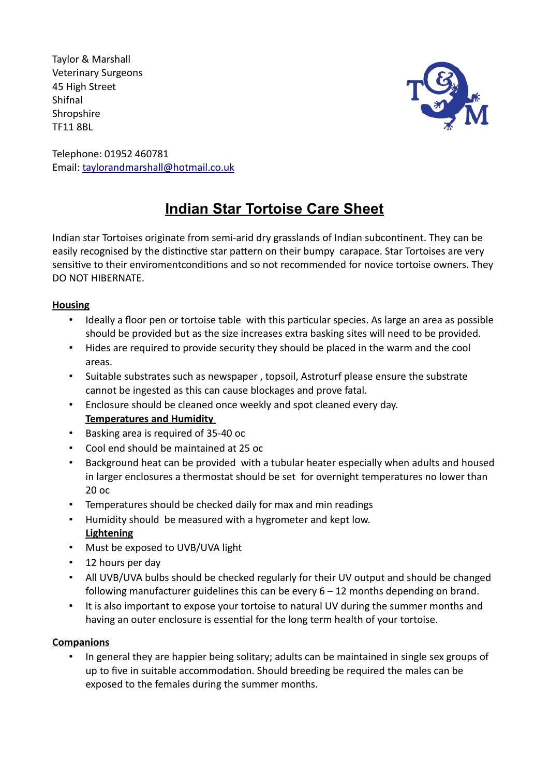Taylor & Marshall Veterinary Surgeons 45 High Street Shifnal **Shropshire** TF11 8BL



Telephone: 01952 460781 Email: taylorandmarshall@hotmail.co.uk

# **Indian Star Tortoise Care Sheet**

Indian star Tortoises originate from semi-arid dry grasslands of Indian subcontinent. They can be easily recognised by the distinctive star pattern on their bumpy carapace. Star Tortoises are very sensitive to their enviromentconditions and so not recommended for novice tortoise owners. They DO NOT HIBERNATE.

## **Housing**

- Ideally a floor pen or tortoise table with this particular species. As large an area as possible should be provided but as the size increases extra basking sites will need to be provided.
- Hides are required to provide security they should be placed in the warm and the cool areas.
- Suitable substrates such as newspaper , topsoil, Astroturf please ensure the substrate cannot be ingested as this can cause blockages and prove fatal.
- Enclosure should be cleaned once weekly and spot cleaned every day. **Temperatures and Humidity**
- Basking area is required of 35-40 oc
- Cool end should be maintained at 25 oc
- Background heat can be provided with a tubular heater especially when adults and housed in larger enclosures a thermostat should be set for overnight temperatures no lower than 20 oc
- Temperatures should be checked daily for max and min readings
- Humidity should be measured with a hygrometer and kept low. **Lightening**
- Must be exposed to UVB/UVA light
- 12 hours per day
- All UVB/UVA bulbs should be checked regularly for their UV output and should be changed following manufacturer guidelines this can be every  $6 - 12$  months depending on brand.
- It is also important to expose your tortoise to natural UV during the summer months and having an outer enclosure is essential for the long term health of your tortoise.

## **Companions**

• In general they are happier being solitary; adults can be maintained in single sex groups of up to five in suitable accommodation. Should breeding be required the males can be exposed to the females during the summer months.